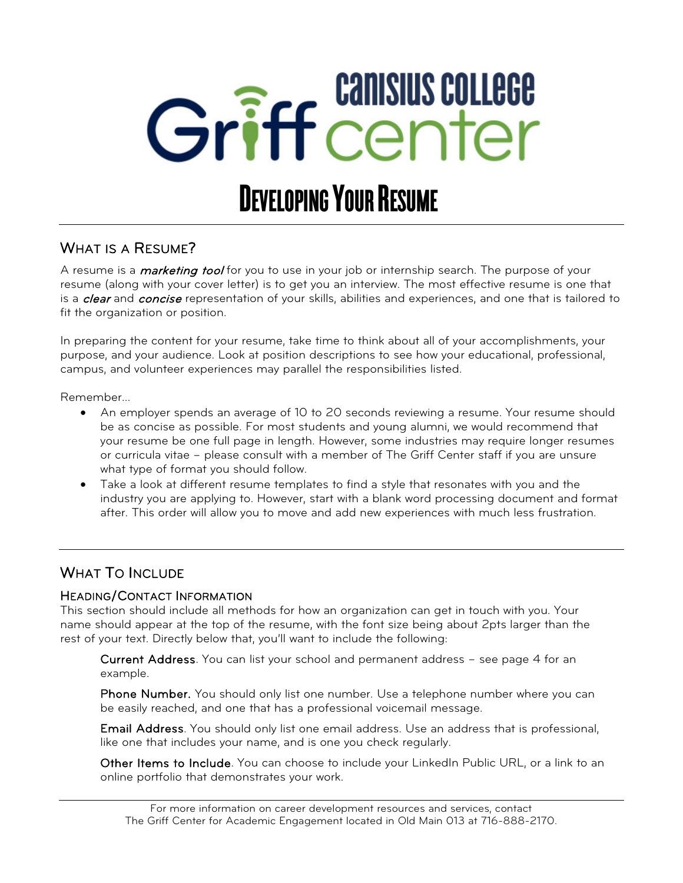# Griff center DEVELOPING YOUR RESUME

#### WHAT IS A RESUME?

A resume is a *marketing tool* for you to use in your job or internship search. The purpose of your resume (along with your cover letter) is to get you an interview. The most effective resume is one that is a *clear* and *concise* representation of your skills, abilities and experiences, and one that is tailored to fit the organization or position.

In preparing the content for your resume, take time to think about all of your accomplishments, your purpose, and your audience. Look at position descriptions to see how your educational, professional, campus, and volunteer experiences may parallel the responsibilities listed.

Remember…

- An employer spends an average of 10 to 20 seconds reviewing a resume. Your resume should be as concise as possible. For most students and young alumni, we would recommend that your resume be one full page in length. However, some industries may require longer resumes or curricula vitae – please consult with a member of The Griff Center staff if you are unsure what type of format you should follow.
- Take a look at different resume templates to find a style that resonates with you and the industry you are applying to. However, start with a blank word processing document and format after. This order will allow you to move and add new experiences with much less frustration.

#### WHAT TO INCLUDE

#### HEADING/CONTACT INFORMATION

This section should include all methods for how an organization can get in touch with you. Your name should appear at the top of the resume, with the font size being about 2pts larger than the rest of your text. Directly below that, you'll want to include the following:

Current Address. You can list your school and permanent address – see page 4 for an example.

Phone Number. You should only list one number. Use a telephone number where you can be easily reached, and one that has a professional voicemail message.

Email Address. You should only list one email address. Use an address that is professional, like one that includes your name, and is one you check regularly.

Other Items to Include. You can choose to include your LinkedIn Public URL, or a link to an online portfolio that demonstrates your work.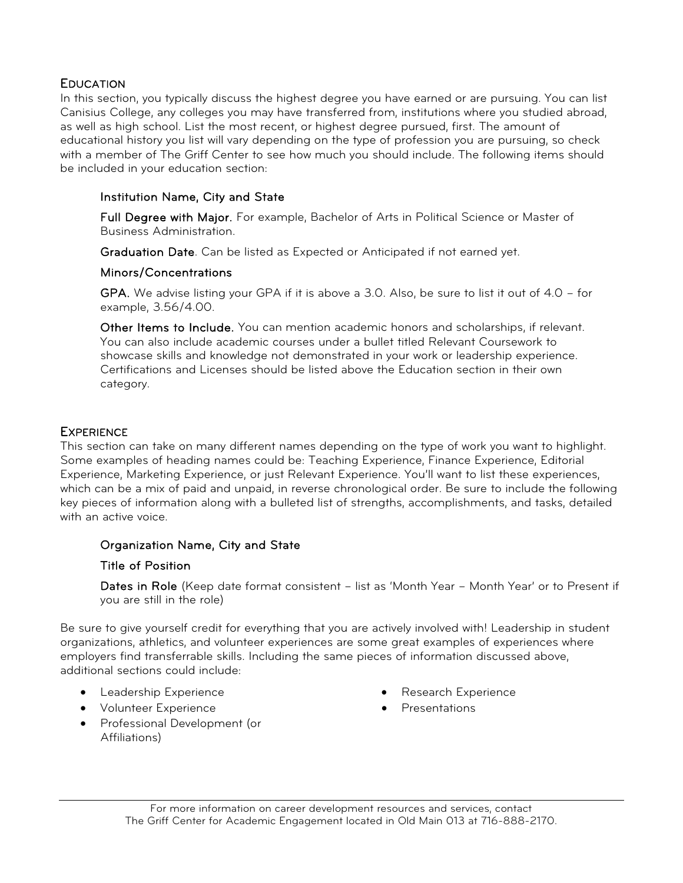#### **EDUCATION**

In this section, you typically discuss the highest degree you have earned or are pursuing. You can list Canisius College, any colleges you may have transferred from, institutions where you studied abroad, as well as high school. List the most recent, or highest degree pursued, first. The amount of educational history you list will vary depending on the type of profession you are pursuing, so check with a member of The Griff Center to see how much you should include. The following items should be included in your education section:

#### Institution Name, City and State

Full Degree with Major. For example, Bachelor of Arts in Political Science or Master of Business Administration.

Graduation Date. Can be listed as Expected or Anticipated if not earned yet.

#### Minors/Concentrations

GPA. We advise listing your GPA if it is above a 3.0. Also, be sure to list it out of 4.0 – for example, 3.56/4.00.

Other Items to Include. You can mention academic honors and scholarships, if relevant. You can also include academic courses under a bullet titled Relevant Coursework to showcase skills and knowledge not demonstrated in your work or leadership experience. Certifications and Licenses should be listed above the Education section in their own category.

#### **EXPERIENCE**

This section can take on many different names depending on the type of work you want to highlight. Some examples of heading names could be: Teaching Experience, Finance Experience, Editorial Experience, Marketing Experience, or just Relevant Experience. You'll want to list these experiences, which can be a mix of paid and unpaid, in reverse chronological order. Be sure to include the following key pieces of information along with a bulleted list of strengths, accomplishments, and tasks, detailed with an active voice.

#### Organization Name, City and State

#### Title of Position

Dates in Role (Keep date format consistent - list as 'Month Year - Month Year' or to Present if you are still in the role)

Be sure to give yourself credit for everything that you are actively involved with! Leadership in student organizations, athletics, and volunteer experiences are some great examples of experiences where employers find transferrable skills. Including the same pieces of information discussed above, additional sections could include:

- Leadership Experience
- Volunteer Experience
- Professional Development (or Affiliations)
- Research Experience
- Presentations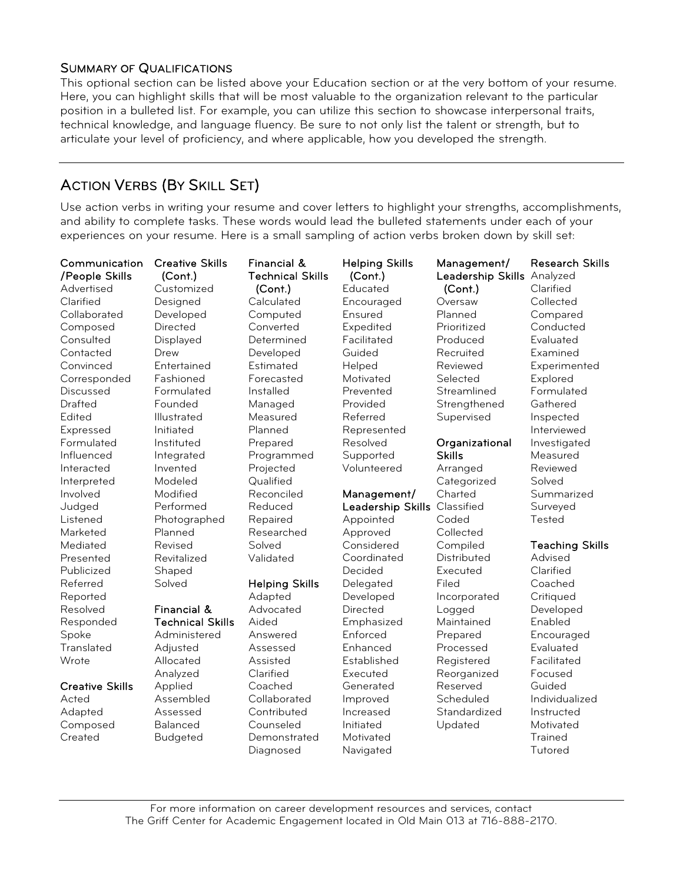#### SUMMARY OF QUALIFICATIONS

This optional section can be listed above your Education section or at the very bottom of your resume. Here, you can highlight skills that will be most valuable to the organization relevant to the particular position in a bulleted list. For example, you can utilize this section to showcase interpersonal traits, technical knowledge, and language fluency. Be sure to not only list the talent or strength, but to articulate your level of proficiency, and where applicable, how you developed the strength.

#### ACTION VERBS (BY SKILL SET)

Use action verbs in writing your resume and cover letters to highlight your strengths, accomplishments, and ability to complete tasks. These words would lead the bulleted statements under each of your experiences on your resume. Here is a small sampling of action verbs broken down by skill set:

| Communication<br>/People Skills<br>Advertised | <b>Creative Skills</b><br>(Cont.)<br>Customized | Financial &<br><b>Technical Skills</b><br>(Cont.) | <b>Helping Skills</b><br>(Cont.)<br>Educated | Management/<br>Leadership Skills Analyzed<br>(Cont.) | <b>Research Skills</b><br>Clarified |
|-----------------------------------------------|-------------------------------------------------|---------------------------------------------------|----------------------------------------------|------------------------------------------------------|-------------------------------------|
| Clarified                                     | Designed                                        | Calculated                                        | Encouraged                                   | Oversaw                                              | Collected                           |
| Collaborated                                  | Developed                                       | Computed                                          | Ensured                                      | Planned                                              | Compared                            |
| Composed                                      | Directed                                        | Converted                                         | Expedited                                    | Prioritized                                          | Conducted                           |
| Consulted                                     | Displayed                                       | Determined                                        | Facilitated                                  | Produced                                             | Evaluated                           |
| Contacted                                     | Drew                                            | Developed                                         | Guided                                       | Recruited                                            | Examined                            |
| Convinced                                     | Entertained                                     | Estimated                                         | Helped                                       | Reviewed                                             | Experimented                        |
| Corresponded                                  | Fashioned                                       | Forecasted                                        | Motivated                                    | Selected                                             | Explored                            |
| Discussed                                     | Formulated                                      | Installed                                         | Prevented                                    | Streamlined                                          | Formulated                          |
| Drafted                                       | Founded                                         | Managed                                           | Provided                                     | Strengthened                                         | Gathered                            |
| Edited                                        | Illustrated                                     | Measured                                          | Referred                                     | Supervised                                           | Inspected                           |
| Expressed                                     | Initiated                                       | Planned                                           | Represented                                  |                                                      | Interviewed                         |
| Formulated                                    | Instituted                                      | Prepared                                          | Resolved                                     | Organizational                                       | Investigated                        |
| Influenced                                    | Integrated                                      | Programmed                                        | Supported                                    | <b>Skills</b>                                        | Measured                            |
| Interacted                                    | Invented                                        | Projected                                         | Volunteered                                  | Arranged                                             | Reviewed                            |
| Interpreted                                   | Modeled                                         | Qualified                                         |                                              | Categorized                                          | Solved                              |
| Involved                                      | Modified                                        | Reconciled                                        | Management/                                  | Charted                                              | Summarized                          |
| Judged                                        | Performed                                       | Reduced                                           | Leadership Skills                            | Classified                                           | Surveyed                            |
| Listened                                      | Photographed                                    | Repaired                                          | Appointed                                    | Coded                                                | Tested                              |
| Marketed                                      | Planned                                         | Researched                                        | Approved                                     | Collected                                            |                                     |
| Mediated                                      | Revised                                         | Solved                                            | Considered                                   | Compiled                                             | <b>Teaching Skills</b>              |
| Presented                                     | Revitalized                                     | Validated                                         | Coordinated                                  | Distributed                                          | Advised                             |
| Publicized                                    | Shaped                                          |                                                   | Decided                                      | Executed                                             | Clarified                           |
| Referred                                      | Solved                                          | <b>Helping Skills</b>                             | Delegated                                    | Filed                                                | Coached                             |
| Reported                                      |                                                 | Adapted                                           | Developed                                    | Incorporated                                         | Critiqued                           |
| Resolved                                      | Financial &                                     | Advocated                                         | Directed                                     | Logged                                               | Developed                           |
| Responded                                     | <b>Technical Skills</b>                         | Aided                                             | Emphasized                                   | Maintained                                           | Enabled                             |
| Spoke                                         | Administered                                    | Answered                                          | Enforced                                     | Prepared                                             | Encouraged                          |
| Translated                                    | Adjusted                                        | Assessed                                          | Enhanced                                     | Processed                                            | Evaluated                           |
| Wrote                                         | Allocated                                       | Assisted                                          | Established                                  | Registered                                           | Facilitated                         |
|                                               | Analyzed                                        | Clarified                                         | Executed                                     | Reorganized                                          | Focused                             |
| <b>Creative Skills</b>                        | Applied                                         | Coached                                           | Generated                                    | Reserved                                             | Guided                              |
| Acted                                         | Assembled                                       | Collaborated                                      | Improved                                     | Scheduled                                            | Individualized                      |
| Adapted                                       | Assessed                                        | Contributed                                       | Increased                                    | Standardized                                         | Instructed                          |
| Composed                                      | <b>Balanced</b>                                 | Counseled                                         | Initiated                                    | Updated                                              | Motivated                           |
| Created                                       | <b>Budgeted</b>                                 | Demonstrated                                      | Motivated                                    |                                                      | <b>Trained</b>                      |
|                                               |                                                 | Diagnosed                                         | Navigated                                    |                                                      | Tutored                             |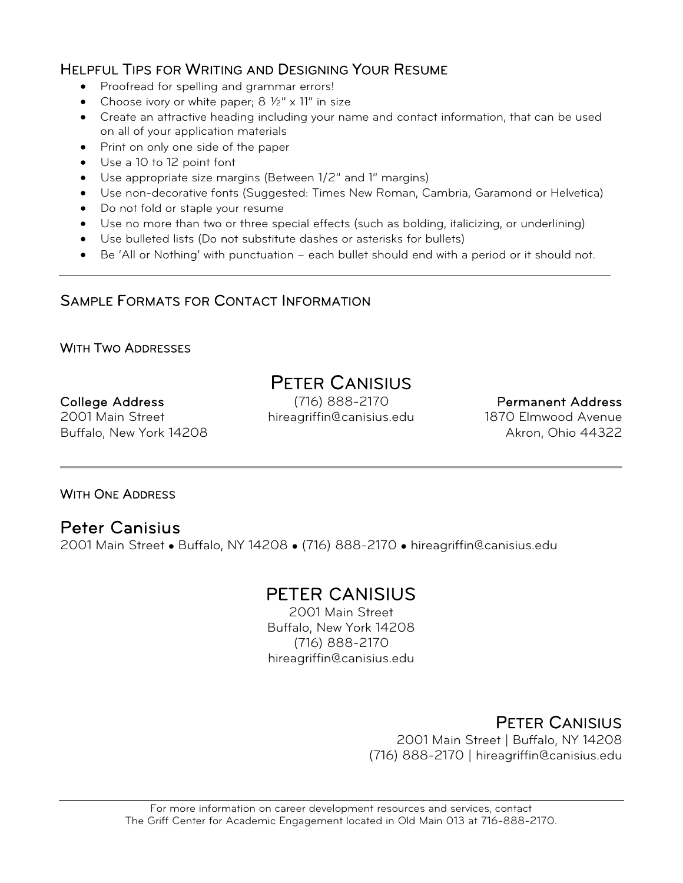#### HELPFUL TIPS FOR WRITING AND DESIGNING YOUR RESUME

- Proofread for spelling and grammar errors!
- Choose ivory or white paper;  $8\frac{1}{2}$ " x 11" in size
- Create an attractive heading including your name and contact information, that can be used on all of your application materials
- Print on only one side of the paper
- Use a 10 to 12 point font
- Use appropriate size margins (Between 1/2" and 1" margins)
- Use non-decorative fonts (Suggested: Times New Roman, Cambria, Garamond or Helvetica)
- Do not fold or staple your resume
- Use no more than two or three special effects (such as bolding, italicizing, or underlining)
- Use bulleted lists (Do not substitute dashes or asterisks for bullets)
- Be 'All or Nothing' with punctuation each bullet should end with a period or it should not.

#### SAMPLE FORMATS FOR CONTACT INFORMATION

#### WITH TWO ADDRESSES

Buffalo, New York 14208

# PETER CANISIUS<br>College Address (716) 888-2170

(716) 888-2170 hireagriffin@canisius.edu

#### Permanent Address

1870 Elmwood Avenue Akron, Ohio 44322

#### WITH ONE ADDRESS

2001 Main Street

Peter Canisius<br>2001 Main Street • Buffalo, NY 14208 • (716) 888-2170 • hireagriffin@canisius.edu

## PETER CANISIUS<br>2001 Main Street

Buffalo, New York 14208 (716) 888-2170 hireagriffin@canisius.edu

## PETER CANISIUS 2001 Main Street | Buffalo, NY 14208

(716) 888-2170 | hireagriffin@canisius.edu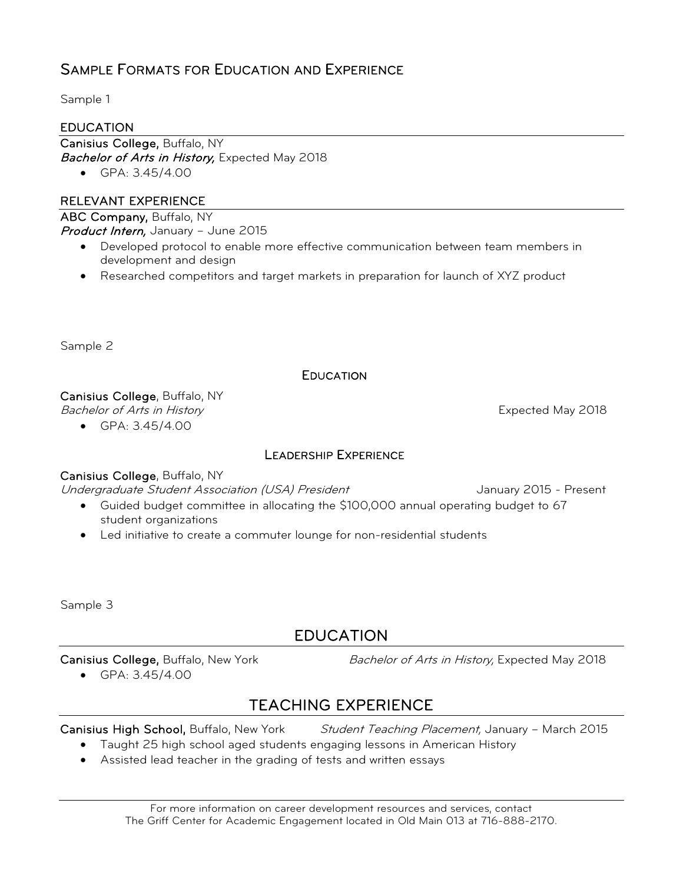#### SAMPLE FORMATS FOR EDUCATION AND EXPERIENCE

Sample 1

#### EDUCATION

Canisius College, Buffalo, NY Bachelor of Arts in History, Expected May 2018

• GPA: 3.45/4.00

#### RELEVANT EXPERIENCE

ABC Company, Buffalo, NY Product Intern, January - June 2015

- Developed protocol to enable more effective communication between team members in development and design
- Researched competitors and target markets in preparation for launch of XYZ product

Sample 2

#### **EDUCATION**

Canisius College, Buffalo, NY

Bachelor of Arts in History **Expected May 2018** 

• GPA: 3.45/4.00

#### LEADERSHIP EXPERIENCE

#### Canisius College, Buffalo, NY

Undergraduate Student Association (USA) President Manuary 2015 - Present

- Guided budget committee in allocating the \$100,000 annual operating budget to 67 student organizations
- Led initiative to create a commuter lounge for non-residential students

Sample 3

#### EDUCATION

• GPA: 3.45/4.00

Canisius College, Buffalo, New York Bachelor of Arts in History, Expected May 2018

### TEACHING EXPERIENCE

Canisius High School, Buffalo, New York Student Teaching Placement, January - March 2015

- Taught 25 high school aged students engaging lessons in American History
- Assisted lead teacher in the grading of tests and written essays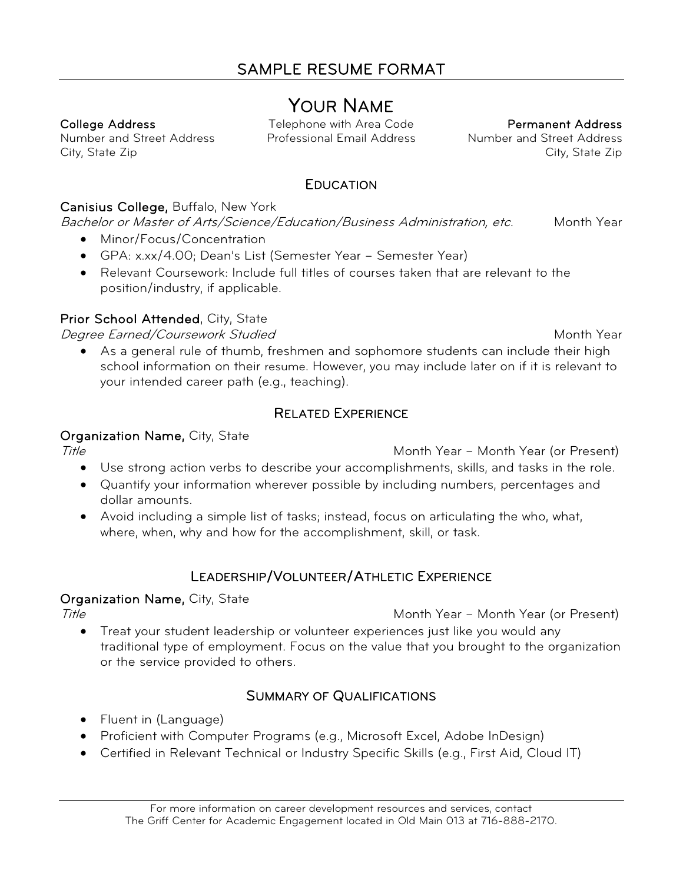Number and Street Address City, State Zip

YOUR NAME College Address Telephone with Area Code Professional Email Address

Permanent Address Number and Street Address City, State Zip

#### **EDUCATION**

#### Canisius College, Buffalo, New York

Bachelor or Master of Arts/Science/Education/Business Administration, etc. Month Year

- Minor/Focus/Concentration
- GPA: x.xx/4.00; Dean's List (Semester Year Semester Year)
- Relevant Coursework: Include full titles of courses taken that are relevant to the position/industry, if applicable.

#### Prior School Attended, City, State

Degree Earned/Coursework Studied Month Year

• As a general rule of thumb, freshmen and sophomore students can include their high school information on their resume. However, you may include later on if it is relevant to your intended career path (e.g., teaching).

#### RELATED EXPERIENCE

#### Organization Name, City, State

Title Month Year – Month Year (or Present)

- Use strong action verbs to describe your accomplishments, skills, and tasks in the role.
- Quantify your information wherever possible by including numbers, percentages and dollar amounts.
- Avoid including a simple list of tasks; instead, focus on articulating the who, what, where, when, why and how for the accomplishment, skill, or task.

#### LEADERSHIP/VOLUNTEER/ATHLETIC EXPERIENCE

#### Organization Name, City, State

Title Month Year – Month Year (or Present)

• Treat your student leadership or volunteer experiences just like you would any traditional type of employment. Focus on the value that you brought to the organization or the service provided to others.

#### SUMMARY OF QUALIFICATIONS

- Fluent in (Language)
- Proficient with Computer Programs (e.g., Microsoft Excel, Adobe InDesign)
- Certified in Relevant Technical or Industry Specific Skills (e.g., First Aid, Cloud IT)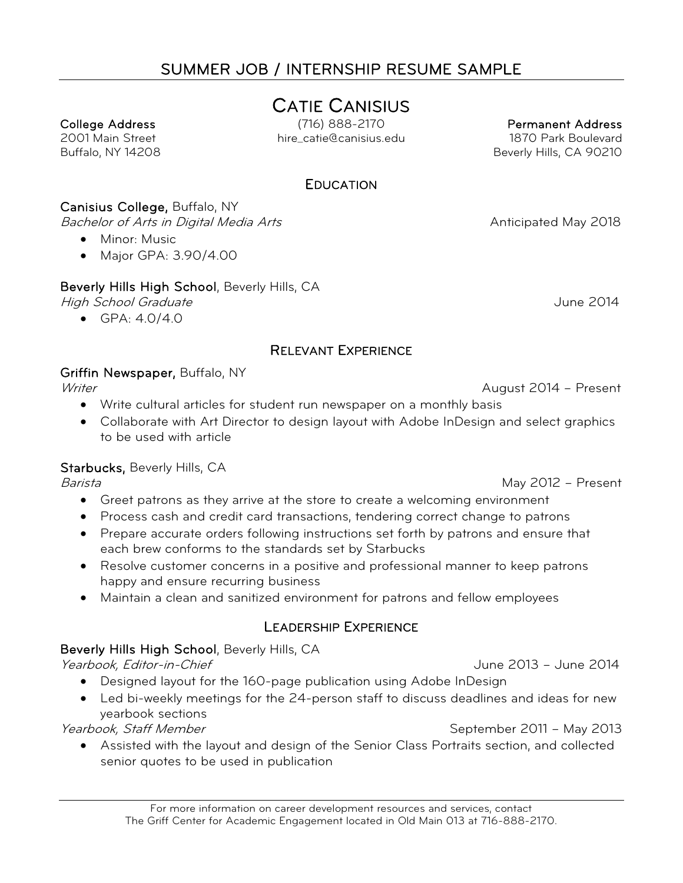## SUMMER JOB / INTERNSHIP RESUME SAMPLE

# CATIE CANISIUS College Address

(716) 888-2170 hire\_catie@canisius.edu

Permanent Address 1870 Park Boulevard Beverly Hills, CA 90210

**EDUCATION** 

#### Canisius College, Buffalo, NY

Bachelor of Arts in Digital Media Arts Anticometers Anticipated May 2018

• Minor: Music

2001 Main Street Buffalo, NY 14208

• Major GPA: 3.90/4.00

Beverly Hills High School, Beverly Hills, CA

High School Graduate June 2014

• GPA: 4.0/4.0

#### RELEVANT EXPERIENCE

#### Griffin Newspaper, Buffalo, NY

- Write cultural articles for student run newspaper on a monthly basis
- Collaborate with Art Director to design layout with Adobe InDesign and select graphics to be used with article

#### Starbucks, Beverly Hills, CA

- Greet patrons as they arrive at the store to create a welcoming environment
- Process cash and credit card transactions, tendering correct change to patrons
- Prepare accurate orders following instructions set forth by patrons and ensure that each brew conforms to the standards set by Starbucks
- Resolve customer concerns in a positive and professional manner to keep patrons happy and ensure recurring business
- Maintain a clean and sanitized environment for patrons and fellow employees

#### LEADERSHIP EXPERIENCE

#### Beverly Hills High School, Beverly Hills, CA

Yearbook, Editor-in-Chief June 2013 – June 2014

- Designed layout for the 160-page publication using Adobe InDesign
- Led bi-weekly meetings for the 24-person staff to discuss deadlines and ideas for new yearbook sections

Yearbook, Staff Member September 2011 – May 2013

• Assisted with the layout and design of the Senior Class Portraits section, and collected senior quotes to be used in publication

#### Writer **August 2014 – Present** August 2014 – Present

Barista May 2012 – Present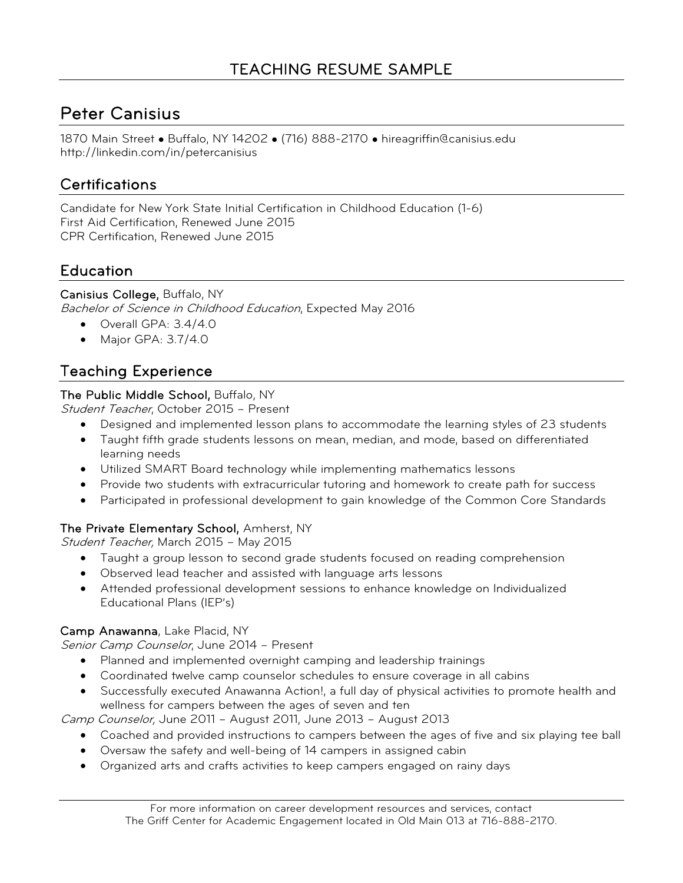## Peter Canisius

1870 Main Street • Buffalo, NY 14202 • (716) 888-2170 • hireagriffin@canisius.edu http://linkedin.com/in/petercanisius

#### **Certifications**

Candidate for New York State Initial Certification in Childhood Education (1-6) First Aid Certification, Renewed June 2015 CPR Certification, Renewed June 2015

#### Education

#### Canisius College, Buffalo, NY Bachelor of Science in Childhood Education, Expected May 2016

- Overall GPA: 3.4/4.0
- Major GPA: 3.7/4.0

#### Teaching Experience

#### The Public Middle School, Buffalo, NY

Student Teacher, October 2015 – Present

- Designed and implemented lesson plans to accommodate the learning styles of 23 students
- Taught fifth grade students lessons on mean, median, and mode, based on differentiated learning needs
- Utilized SMART Board technology while implementing mathematics lessons
- Provide two students with extracurricular tutoring and homework to create path for success
- Participated in professional development to gain knowledge of the Common Core Standards

#### The Private Elementary School, Amherst, NY

Student Teacher, March 2015 - May 2015

- Taught a group lesson to second grade students focused on reading comprehension
- Observed lead teacher and assisted with language arts lessons
- Attended professional development sessions to enhance knowledge on Individualized Educational Plans (IEP's)

#### Camp Anawanna, Lake Placid, NY

Senior Camp Counselor, June 2014 – Present

- Planned and implemented overnight camping and leadership trainings
- Coordinated twelve camp counselor schedules to ensure coverage in all cabins
- Successfully executed Anawanna Action!, a full day of physical activities to promote health and wellness for campers between the ages of seven and ten

Camp Counselor, June 2011 – August 2011, June 2013 – August 2013

- Coached and provided instructions to campers between the ages of five and six playing tee ball
- Oversaw the safety and well-being of 14 campers in assigned cabin
- Organized arts and crafts activities to keep campers engaged on rainy days